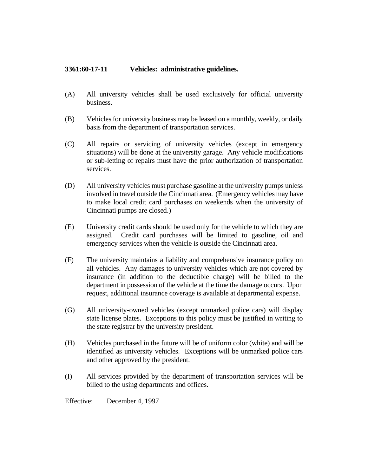## **3361:60-17-11 Vehicles: administrative guidelines.**

- (A) All university vehicles shall be used exclusively for official university business.
- (B) Vehicles for university business may be leased on a monthly, weekly, or daily basis from the department of transportation services.
- (C) All repairs or servicing of university vehicles (except in emergency situations) will be done at the university garage. Any vehicle modifications or sub-letting of repairs must have the prior authorization of transportation services.
- (D) All university vehicles must purchase gasoline at the university pumps unless involved in travel outside the Cincinnati area. (Emergency vehicles may have to make local credit card purchases on weekends when the university of Cincinnati pumps are closed.)
- (E) University credit cards should be used only for the vehicle to which they are assigned. Credit card purchases will be limited to gasoline, oil and emergency services when the vehicle is outside the Cincinnati area.
- (F) The university maintains a liability and comprehensive insurance policy on all vehicles. Any damages to university vehicles which are not covered by insurance (in addition to the deductible charge) will be billed to the department in possession of the vehicle at the time the damage occurs. Upon request, additional insurance coverage is available at departmental expense.
- (G) All university-owned vehicles (except unmarked police cars) will display state license plates. Exceptions to this policy must be justified in writing to the state registrar by the university president.
- (H) Vehicles purchased in the future will be of uniform color (white) and will be identified as university vehicles. Exceptions will be unmarked police cars and other approved by the president.
- (I) All services provided by the department of transportation services will be billed to the using departments and offices.

Effective: December 4, 1997